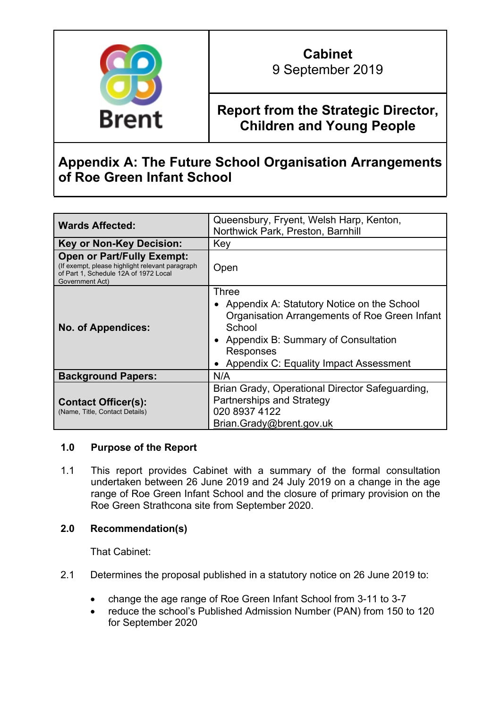

9 September 2019

## **Report from the Strategic Director, Children and Young People**

# **Appendix A: The Future School Organisation Arrangements of Roe Green Infant School**

| <b>Wards Affected:</b>                                                                                                                           | Queensbury, Fryent, Welsh Harp, Kenton,<br>Northwick Park, Preston, Barnhill                                                                                                                                   |  |  |  |
|--------------------------------------------------------------------------------------------------------------------------------------------------|----------------------------------------------------------------------------------------------------------------------------------------------------------------------------------------------------------------|--|--|--|
| <b>Key or Non-Key Decision:</b>                                                                                                                  | Key                                                                                                                                                                                                            |  |  |  |
| <b>Open or Part/Fully Exempt:</b><br>(If exempt, please highlight relevant paragraph<br>of Part 1, Schedule 12A of 1972 Local<br>Government Act) | Open                                                                                                                                                                                                           |  |  |  |
| <b>No. of Appendices:</b>                                                                                                                        | Three<br>Appendix A: Statutory Notice on the School<br>Organisation Arrangements of Roe Green Infant<br>School<br>• Appendix B: Summary of Consultation<br>Responses<br>Appendix C: Equality Impact Assessment |  |  |  |
| <b>Background Papers:</b>                                                                                                                        | N/A                                                                                                                                                                                                            |  |  |  |
| <b>Contact Officer(s):</b><br>(Name, Title, Contact Details)                                                                                     | Brian Grady, Operational Director Safeguarding,<br>Partnerships and Strategy<br>020 8937 4122<br>Brian.Grady@brent.gov.uk                                                                                      |  |  |  |

## **1.0 Purpose of the Report**

1.1 This report provides Cabinet with a summary of the formal consultation undertaken between 26 June 2019 and 24 July 2019 on a change in the age range of Roe Green Infant School and the closure of primary provision on the Roe Green Strathcona site from September 2020.

## **2.0 Recommendation(s)**

That Cabinet:

- 2.1 Determines the proposal published in a statutory notice on 26 June 2019 to:
	- change the age range of Roe Green Infant School from 3-11 to 3-7
	- reduce the school's Published Admission Number (PAN) from 150 to 120 for September 2020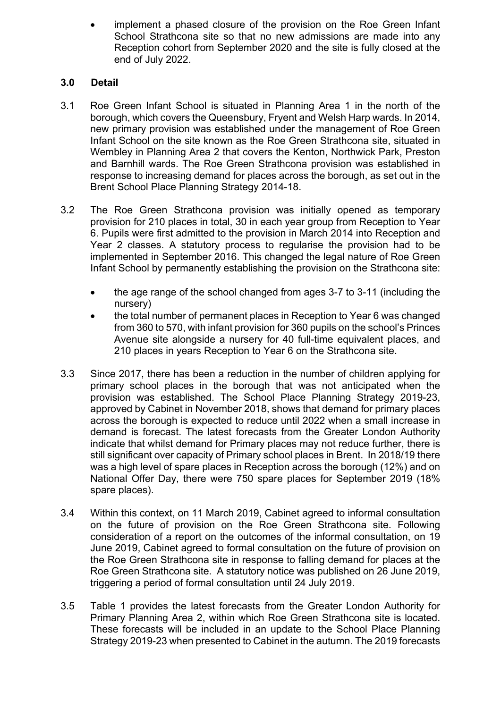implement a phased closure of the provision on the Roe Green Infant School Strathcona site so that no new admissions are made into any Reception cohort from September 2020 and the site is fully closed at the end of July 2022.

## **3.0 Detail**

- 3.1 Roe Green Infant School is situated in Planning Area 1 in the north of the borough, which covers the Queensbury, Fryent and Welsh Harp wards. In 2014, new primary provision was established under the management of Roe Green Infant School on the site known as the Roe Green Strathcona site, situated in Wembley in Planning Area 2 that covers the Kenton, Northwick Park, Preston and Barnhill wards. The Roe Green Strathcona provision was established in response to increasing demand for places across the borough, as set out in the Brent School Place Planning Strategy 2014-18.
- 3.2 The Roe Green Strathcona provision was initially opened as temporary provision for 210 places in total, 30 in each year group from Reception to Year 6. Pupils were first admitted to the provision in March 2014 into Reception and Year 2 classes. A statutory process to regularise the provision had to be implemented in September 2016. This changed the legal nature of Roe Green Infant School by permanently establishing the provision on the Strathcona site:
	- the age range of the school changed from ages 3-7 to 3-11 (including the nursery)
	- the total number of permanent places in Reception to Year 6 was changed from 360 to 570, with infant provision for 360 pupils on the school's Princes Avenue site alongside a nursery for 40 full-time equivalent places, and 210 places in years Reception to Year 6 on the Strathcona site.
- 3.3 Since 2017, there has been a reduction in the number of children applying for primary school places in the borough that was not anticipated when the provision was established. The School Place Planning Strategy 2019-23, approved by Cabinet in November 2018, shows that demand for primary places across the borough is expected to reduce until 2022 when a small increase in demand is forecast. The latest forecasts from the Greater London Authority indicate that whilst demand for Primary places may not reduce further, there is still significant over capacity of Primary school places in Brent. In 2018/19 there was a high level of spare places in Reception across the borough (12%) and on National Offer Day, there were 750 spare places for September 2019 (18% spare places).
- 3.4 Within this context, on 11 March 2019, Cabinet agreed to informal consultation on the future of provision on the Roe Green Strathcona site. Following consideration of a report on the outcomes of the informal consultation, on 19 June 2019, Cabinet agreed to formal consultation on the future of provision on the Roe Green Strathcona site in response to falling demand for places at the Roe Green Strathcona site. A statutory notice was published on 26 June 2019, triggering a period of formal consultation until 24 July 2019.
- 3.5 Table 1 provides the latest forecasts from the Greater London Authority for Primary Planning Area 2, within which Roe Green Strathcona site is located. These forecasts will be included in an update to the School Place Planning Strategy 2019-23 when presented to Cabinet in the autumn. The 2019 forecasts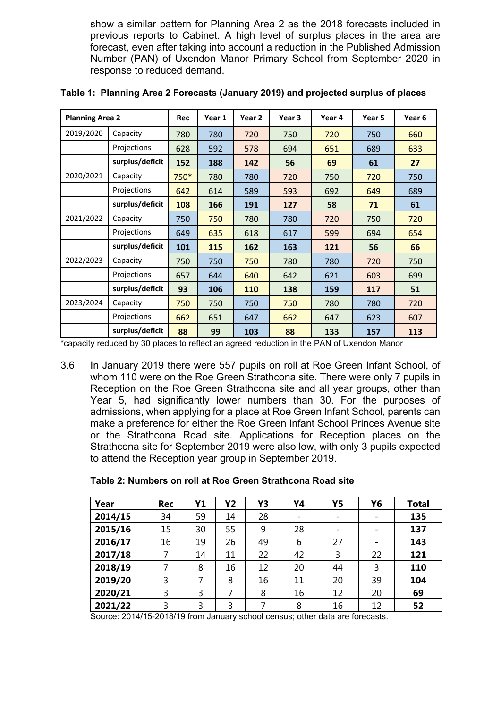show a similar pattern for Planning Area 2 as the 2018 forecasts included in previous reports to Cabinet. A high level of surplus places in the area are forecast, even after taking into account a reduction in the Published Admission Number (PAN) of Uxendon Manor Primary School from September 2020 in response to reduced demand.

| <b>Planning Area 2</b> | Rec             | Year 1 | Year 2 | Year 3 | Year 4 | Year 5 | Year 6 |     |
|------------------------|-----------------|--------|--------|--------|--------|--------|--------|-----|
| 2019/2020<br>Capacity  |                 | 780    | 780    | 720    | 750    | 720    | 750    | 660 |
|                        | Projections     | 628    | 592    | 578    | 694    | 651    | 689    | 633 |
|                        | surplus/deficit | 152    | 188    | 142    | 56     | 69     | 61     | 27  |
| 2020/2021              | Capacity        | 750*   | 780    | 780    | 720    | 750    | 720    | 750 |
|                        | Projections     | 642    | 614    | 589    | 593    | 692    | 649    | 689 |
|                        | surplus/deficit | 108    | 166    | 191    | 127    | 58     | 71     | 61  |
| 2021/2022              | Capacity        | 750    | 750    | 780    | 780    | 720    | 750    | 720 |
|                        | Projections     | 649    | 635    | 618    | 617    | 599    | 694    | 654 |
|                        | surplus/deficit | 101    | 115    | 162    | 163    | 121    | 56     | 66  |
| 2022/2023              | Capacity        | 750    | 750    | 750    | 780    | 780    | 720    | 750 |
|                        | Projections     | 657    | 644    | 640    | 642    | 621    | 603    | 699 |
|                        | surplus/deficit | 93     | 106    | 110    | 138    | 159    | 117    | 51  |
| 2023/2024              | Capacity        | 750    | 750    | 750    | 750    | 780    | 780    | 720 |
|                        | Projections     | 662    | 651    | 647    | 662    | 647    | 623    | 607 |
| surplus/deficit        |                 | 88     | 99     | 103    | 88     | 133    | 157    | 113 |

**Table 1: Planning Area 2 Forecasts (January 2019) and projected surplus of places**

\*capacity reduced by 30 places to reflect an agreed reduction in the PAN of Uxendon Manor

3.6 In January 2019 there were 557 pupils on roll at Roe Green Infant School, of whom 110 were on the Roe Green Strathcona site. There were only 7 pupils in Reception on the Roe Green Strathcona site and all year groups, other than Year 5, had significantly lower numbers than 30. For the purposes of admissions, when applying for a place at Roe Green Infant School, parents can make a preference for either the Roe Green Infant School Princes Avenue site or the Strathcona Road site. Applications for Reception places on the Strathcona site for September 2019 were also low, with only 3 pupils expected to attend the Reception year group in September 2019.

| Year    | Rec | Y1 | <b>Y2</b> | Y3 | Y4                       | <b>Y5</b> | Y6 | <b>Total</b> |
|---------|-----|----|-----------|----|--------------------------|-----------|----|--------------|
| 2014/15 | 34  | 59 | 14        | 28 | $\overline{\phantom{a}}$ | -         |    | 135          |
| 2015/16 | 15  | 30 | 55        | 9  | 28                       | -         |    | 137          |
| 2016/17 | 16  | 19 | 26        | 49 | 6                        | 27        |    | 143          |
| 2017/18 | 7   | 14 | 11        | 22 | 42                       | 3         | 22 | 121          |
| 2018/19 | 7   | 8  | 16        | 12 | 20                       | 44        | 3  | 110          |
| 2019/20 | 3   | 7  | 8         | 16 | 11                       | 20        | 39 | 104          |
| 2020/21 | 3   | 3  | 7         | 8  | 16                       | 12        | 20 | 69           |
| 2021/22 | 3   | 3  | 3         |    | 8                        | 16        | 12 | 52           |

#### **Table 2: Numbers on roll at Roe Green Strathcona Road site**

Source: 2014/15-2018/19 from January school census; other data are forecasts.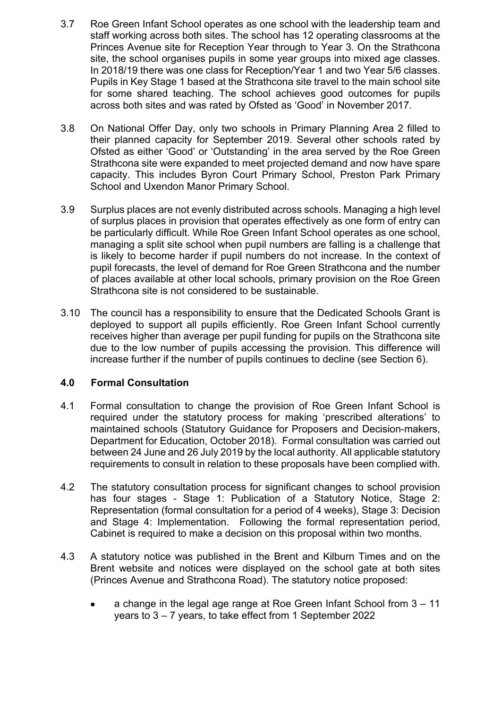- 3.7 Roe Green Infant School operates as one school with the leadership team and staff working across both sites. The school has 12 operating classrooms at the Princes Avenue site for Reception Year through to Year 3. On the Strathcona site, the school organises pupils in some year groups into mixed age classes. In 2018/19 there was one class for Reception/Year 1 and two Year 5/6 classes. Pupils in Key Stage 1 based at the Strathcona site travel to the main school site for some shared teaching. The school achieves good outcomes for pupils across both sites and was rated by Ofsted as 'Good' in November 2017.
- 3.8 On National Offer Day, only two schools in Primary Planning Area 2 filled to their planned capacity for September 2019. Several other schools rated by Ofsted as either 'Good' or 'Outstanding' in the area served by the Roe Green Strathcona site were expanded to meet projected demand and now have spare capacity. This includes Byron Court Primary School, Preston Park Primary School and Uxendon Manor Primary School.
- 3.9 Surplus places are not evenly distributed across schools. Managing a high level of surplus places in provision that operates effectively as one form of entry can be particularly difficult. While Roe Green Infant School operates as one school, managing a split site school when pupil numbers are falling is a challenge that is likely to become harder if pupil numbers do not increase. In the context of pupil forecasts, the level of demand for Roe Green Strathcona and the number of places available at other local schools, primary provision on the Roe Green Strathcona site is not considered to be sustainable.
- 3.10 The council has a responsibility to ensure that the Dedicated Schools Grant is deployed to support all pupils efficiently. Roe Green Infant School currently receives higher than average per pupil funding for pupils on the Strathcona site due to the low number of pupils accessing the provision. This difference will increase further if the number of pupils continues to decline (see Section 6).

## **4.0 Formal Consultation**

- 4.1 Formal consultation to change the provision of Roe Green Infant School is required under the statutory process for making 'prescribed alterations' to maintained schools (Statutory Guidance for Proposers and Decision-makers, Department for Education, October 2018). Formal consultation was carried out between 24 June and 26 July 2019 by the local authority. All applicable statutory requirements to consult in relation to these proposals have been complied with.
- 4.2 The statutory consultation process for significant changes to school provision has four stages - Stage 1: Publication of a Statutory Notice, Stage 2: Representation (formal consultation for a period of 4 weeks), Stage 3: Decision and Stage 4: Implementation. Following the formal representation period, Cabinet is required to make a decision on this proposal within two months.
- 4.3 A statutory notice was published in the Brent and Kilburn Times and on the Brent website and notices were displayed on the school gate at both sites (Princes Avenue and Strathcona Road). The statutory notice proposed:
	- a change in the legal age range at Roe Green Infant School from 3 11 years to 3 – 7 years, to take effect from 1 September 2022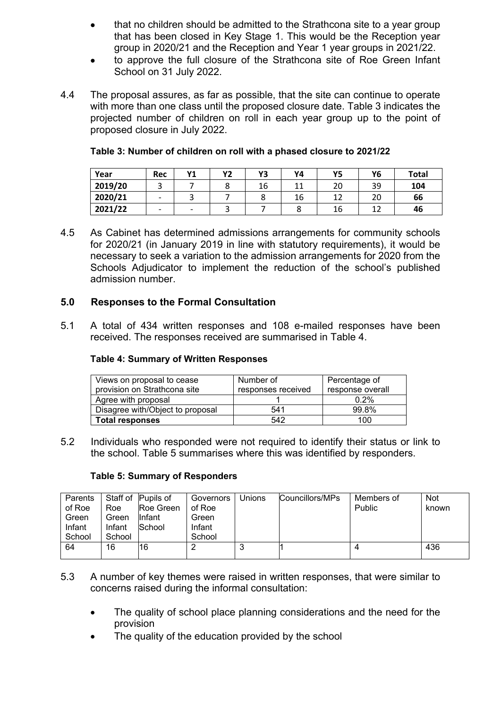- that no children should be admitted to the Strathcona site to a year group that has been closed in Key Stage 1. This would be the Reception year group in 2020/21 and the Reception and Year 1 year groups in 2021/22.
- to approve the full closure of the Strathcona site of Roe Green Infant School on 31 July 2022.
- 4.4 The proposal assures, as far as possible, that the site can continue to operate with more than one class until the proposed closure date. Table 3 indicates the projected number of children on roll in each year group up to the point of proposed closure in July 2022.

| Year    | Rec | V1<br>. . | <b>Y2</b> | Y3 | Υ4 | Y5 | Y6 | <b>Total</b> |
|---------|-----|-----------|-----------|----|----|----|----|--------------|
| 2019/20 |     |           |           | 16 |    | 20 | 39 | 104          |
| 2020/21 |     |           |           |    | 16 |    | 20 | 66           |
| 2021/22 |     | -         |           |    |    | 16 |    | 46           |

#### **Table 3: Number of children on roll with a phased closure to 2021/22**

4.5 As Cabinet has determined admissions arrangements for community schools for 2020/21 (in January 2019 in line with statutory requirements), it would be necessary to seek a variation to the admission arrangements for 2020 from the Schools Adjudicator to implement the reduction of the school's published admission number.

## **5.0 Responses to the Formal Consultation**

5.1 A total of 434 written responses and 108 e-mailed responses have been received. The responses received are summarised in Table 4.

#### **Table 4: Summary of Written Responses**

| Views on proposal to cease       | Number of          | Percentage of    |
|----------------------------------|--------------------|------------------|
| provision on Strathcona site     | responses received | response overall |
| Agree with proposal              |                    | 0.2%             |
| Disagree with/Object to proposal | 541                | 99.8%            |
| <b>Total responses</b>           | 542                | 100              |

5.2 Individuals who responded were not required to identify their status or link to the school. Table 5 summarises where this was identified by responders.

#### **Table 5: Summary of Responders**

| Parents |        | Staff of Pupils of | Governors | Unions | Councillors/MPs | Members of | <b>Not</b> |
|---------|--------|--------------------|-----------|--------|-----------------|------------|------------|
| of Roe  | Roe    | Roe Green          | of Roe    |        |                 | Public     | known      |
| Green   | Green  | llnfant            | Green     |        |                 |            |            |
| Infant  | Infant | School             | Infant    |        |                 |            |            |
| School  | School |                    | School    |        |                 |            |            |
| 64      | 16     | 16                 | 2         | نۍ     |                 | 4          | 436        |
|         |        |                    |           |        |                 |            |            |

- 5.3 A number of key themes were raised in written responses, that were similar to concerns raised during the informal consultation:
	- The quality of school place planning considerations and the need for the provision
	- The quality of the education provided by the school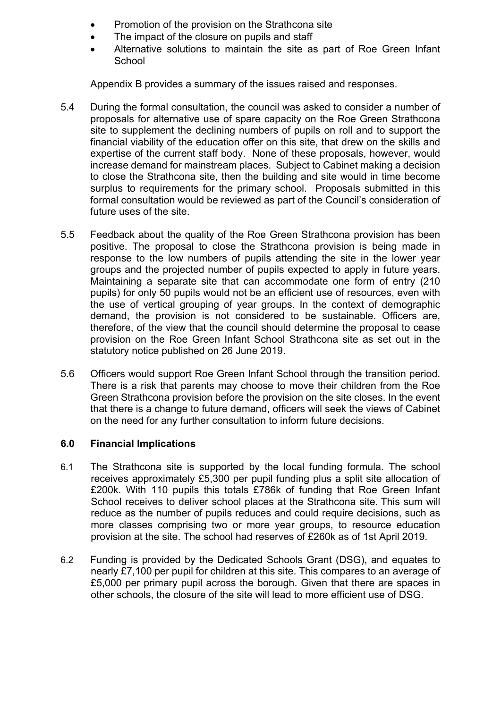- Promotion of the provision on the Strathcona site
- The impact of the closure on pupils and staff
- Alternative solutions to maintain the site as part of Roe Green Infant **School**

Appendix B provides a summary of the issues raised and responses.

- 5.4 During the formal consultation, the council was asked to consider a number of proposals for alternative use of spare capacity on the Roe Green Strathcona site to supplement the declining numbers of pupils on roll and to support the financial viability of the education offer on this site, that drew on the skills and expertise of the current staff body. None of these proposals, however, would increase demand for mainstream places. Subject to Cabinet making a decision to close the Strathcona site, then the building and site would in time become surplus to requirements for the primary school. Proposals submitted in this formal consultation would be reviewed as part of the Council's consideration of future uses of the site.
- 5.5 Feedback about the quality of the Roe Green Strathcona provision has been positive. The proposal to close the Strathcona provision is being made in response to the low numbers of pupils attending the site in the lower year groups and the projected number of pupils expected to apply in future years. Maintaining a separate site that can accommodate one form of entry (210 pupils) for only 50 pupils would not be an efficient use of resources, even with the use of vertical grouping of year groups. In the context of demographic demand, the provision is not considered to be sustainable. Officers are, therefore, of the view that the council should determine the proposal to cease provision on the Roe Green Infant School Strathcona site as set out in the statutory notice published on 26 June 2019.
- 5.6 Officers would support Roe Green Infant School through the transition period. There is a risk that parents may choose to move their children from the Roe Green Strathcona provision before the provision on the site closes. In the event that there is a change to future demand, officers will seek the views of Cabinet on the need for any further consultation to inform future decisions.

#### **6.0 Financial Implications**

- 6.1 The Strathcona site is supported by the local funding formula. The school receives approximately £5,300 per pupil funding plus a split site allocation of £200k. With 110 pupils this totals £786k of funding that Roe Green Infant School receives to deliver school places at the Strathcona site. This sum will reduce as the number of pupils reduces and could require decisions, such as more classes comprising two or more year groups, to resource education provision at the site. The school had reserves of £260k as of 1st April 2019.
- 6.2 Funding is provided by the Dedicated Schools Grant (DSG), and equates to nearly £7,100 per pupil for children at this site. This compares to an average of £5,000 per primary pupil across the borough. Given that there are spaces in other schools, the closure of the site will lead to more efficient use of DSG.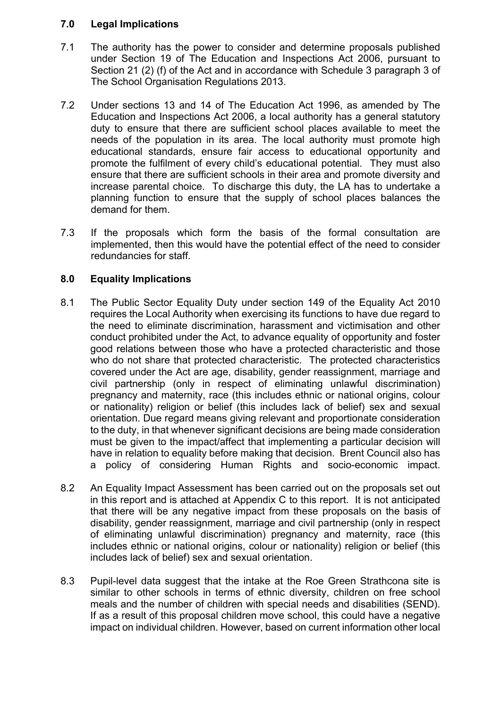#### **7.0 Legal Implications**

- 7.1 The authority has the power to consider and determine proposals published under Section 19 of The Education and Inspections Act 2006, pursuant to Section 21 (2) (f) of the Act and in accordance with Schedule 3 paragraph 3 of The School Organisation Regulations 2013.
- 7.2 Under sections 13 and 14 of The Education Act 1996, as amended by The Education and Inspections Act 2006, a local authority has a general statutory duty to ensure that there are sufficient school places available to meet the needs of the population in its area. The local authority must promote high educational standards, ensure fair access to educational opportunity and promote the fulfilment of every child's educational potential. They must also ensure that there are sufficient schools in their area and promote diversity and increase parental choice. To discharge this duty, the LA has to undertake a planning function to ensure that the supply of school places balances the demand for them.
- 7.3 If the proposals which form the basis of the formal consultation are implemented, then this would have the potential effect of the need to consider redundancies for staff.

### **8.0 Equality Implications**

- 8.1 The Public Sector Equality Duty under section 149 of the Equality Act 2010 requires the Local Authority when exercising its functions to have due regard to the need to eliminate discrimination, harassment and victimisation and other conduct prohibited under the Act, to advance equality of opportunity and foster good relations between those who have a protected characteristic and those who do not share that protected characteristic. The protected characteristics covered under the Act are age, disability, gender reassignment, marriage and civil partnership (only in respect of eliminating unlawful discrimination) pregnancy and maternity, race (this includes ethnic or national origins, colour or nationality) religion or belief (this includes lack of belief) sex and sexual orientation. Due regard means giving relevant and proportionate consideration to the duty, in that whenever significant decisions are being made consideration must be given to the impact/affect that implementing a particular decision will have in relation to equality before making that decision. Brent Council also has a policy of considering Human Rights and socio-economic impact.
- 8.2 An Equality Impact Assessment has been carried out on the proposals set out in this report and is attached at Appendix C to this report. It is not anticipated that there will be any negative impact from these proposals on the basis of disability, gender reassignment, marriage and civil partnership (only in respect of eliminating unlawful discrimination) pregnancy and maternity, race (this includes ethnic or national origins, colour or nationality) religion or belief (this includes lack of belief) sex and sexual orientation.
- 8.3 Pupil-level data suggest that the intake at the Roe Green Strathcona site is similar to other schools in terms of ethnic diversity, children on free school meals and the number of children with special needs and disabilities (SEND). If as a result of this proposal children move school, this could have a negative impact on individual children. However, based on current information other local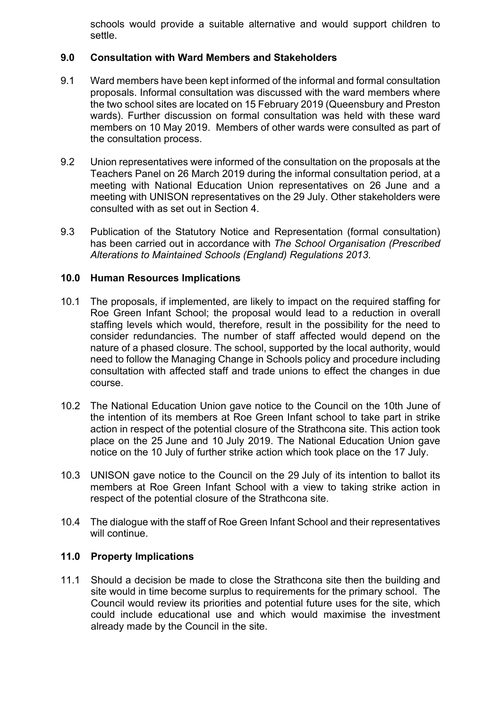schools would provide a suitable alternative and would support children to settle.

## **9.0 Consultation with Ward Members and Stakeholders**

- 9.1 Ward members have been kept informed of the informal and formal consultation proposals. Informal consultation was discussed with the ward members where the two school sites are located on 15 February 2019 (Queensbury and Preston wards). Further discussion on formal consultation was held with these ward members on 10 May 2019. Members of other wards were consulted as part of the consultation process.
- 9.2 Union representatives were informed of the consultation on the proposals at the Teachers Panel on 26 March 2019 during the informal consultation period, at a meeting with National Education Union representatives on 26 June and a meeting with UNISON representatives on the 29 July. Other stakeholders were consulted with as set out in Section 4.
- 9.3 Publication of the Statutory Notice and Representation (formal consultation) has been carried out in accordance with *The School Organisation (Prescribed Alterations to Maintained Schools (England) Regulations 2013*.

### **10.0 Human Resources Implications**

- 10.1 The proposals, if implemented, are likely to impact on the required staffing for Roe Green Infant School; the proposal would lead to a reduction in overall staffing levels which would, therefore, result in the possibility for the need to consider redundancies. The number of staff affected would depend on the nature of a phased closure. The school, supported by the local authority, would need to follow the Managing Change in Schools policy and procedure including consultation with affected staff and trade unions to effect the changes in due course.
- 10.2 The National Education Union gave notice to the Council on the 10th June of the intention of its members at Roe Green Infant school to take part in strike action in respect of the potential closure of the Strathcona site. This action took place on the 25 June and 10 July 2019. The National Education Union gave notice on the 10 July of further strike action which took place on the 17 July.
- 10.3 UNISON gave notice to the Council on the 29 July of its intention to ballot its members at Roe Green Infant School with a view to taking strike action in respect of the potential closure of the Strathcona site.
- 10.4 The dialogue with the staff of Roe Green Infant School and their representatives will continue.

## **11.0 Property Implications**

11.1 Should a decision be made to close the Strathcona site then the building and site would in time become surplus to requirements for the primary school. The Council would review its priorities and potential future uses for the site, which could include educational use and which would maximise the investment already made by the Council in the site.